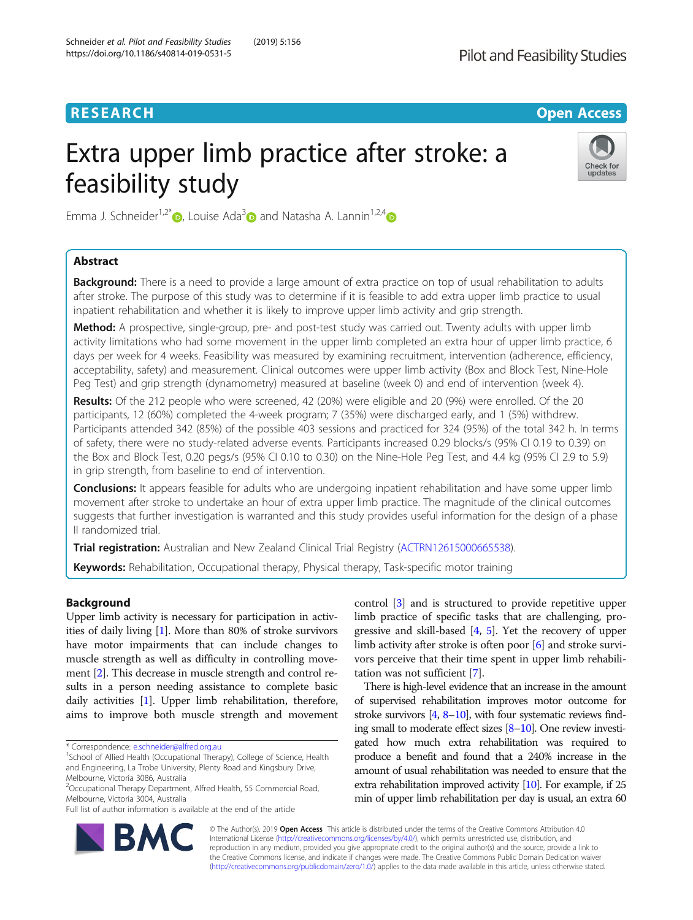# **RESEARCH CHE Open Access**

# Extra upper limb practice after stroke: a feasibility study



Emma J. Schneider<sup>1[,](https://orcid.org/0000-0001-9645-5429)2\*</sup> D. Louise Ada<sup>3</sup> and Natasha A. Lannin<sup>1,2,[4](https://orcid.org/0000-0002-2066-8345)</sup> D

# Abstract

**Background:** There is a need to provide a large amount of extra practice on top of usual rehabilitation to adults after stroke. The purpose of this study was to determine if it is feasible to add extra upper limb practice to usual inpatient rehabilitation and whether it is likely to improve upper limb activity and grip strength.

Method: A prospective, single-group, pre- and post-test study was carried out. Twenty adults with upper limb activity limitations who had some movement in the upper limb completed an extra hour of upper limb practice, 6 days per week for 4 weeks. Feasibility was measured by examining recruitment, intervention (adherence, efficiency, acceptability, safety) and measurement. Clinical outcomes were upper limb activity (Box and Block Test, Nine-Hole Peg Test) and grip strength (dynamometry) measured at baseline (week 0) and end of intervention (week 4).

Results: Of the 212 people who were screened, 42 (20%) were eligible and 20 (9%) were enrolled. Of the 20 participants, 12 (60%) completed the 4-week program; 7 (35%) were discharged early, and 1 (5%) withdrew. Participants attended 342 (85%) of the possible 403 sessions and practiced for 324 (95%) of the total 342 h. In terms of safety, there were no study-related adverse events. Participants increased 0.29 blocks/s (95% CI 0.19 to 0.39) on the Box and Block Test, 0.20 pegs/s (95% CI 0.10 to 0.30) on the Nine-Hole Peg Test, and 4.4 kg (95% CI 2.9 to 5.9) in grip strength, from baseline to end of intervention.

Conclusions: It appears feasible for adults who are undergoing inpatient rehabilitation and have some upper limb movement after stroke to undertake an hour of extra upper limb practice. The magnitude of the clinical outcomes suggests that further investigation is warranted and this study provides useful information for the design of a phase II randomized trial.

Trial registration: Australian and New Zealand Clinical Trial Registry [\(ACTRN12615000665538\)](https://www.anzctr.org.au/Trial/Registration/TrialReview.aspx?id=368410).

Keywords: Rehabilitation, Occupational therapy, Physical therapy, Task-specific motor training

# Background

Upper limb activity is necessary for participation in activities of daily living [[1\]](#page-5-0). More than 80% of stroke survivors have motor impairments that can include changes to muscle strength as well as difficulty in controlling movement [\[2](#page-5-0)]. This decrease in muscle strength and control results in a person needing assistance to complete basic daily activities [\[1](#page-5-0)]. Upper limb rehabilitation, therefore, aims to improve both muscle strength and movement

Full list of author information is available at the end of the article

control [[3\]](#page-5-0) and is structured to provide repetitive upper limb practice of specific tasks that are challenging, progressive and skill-based  $[4, 5]$  $[4, 5]$  $[4, 5]$ . Yet the recovery of upper limb activity after stroke is often poor [[6](#page-6-0)] and stroke survivors perceive that their time spent in upper limb rehabilitation was not sufficient [\[7](#page-6-0)].

There is high-level evidence that an increase in the amount of supervised rehabilitation improves motor outcome for stroke survivors [\[4,](#page-5-0) [8](#page-6-0)–[10](#page-6-0)], with four systematic reviews finding small to moderate effect sizes [\[8](#page-6-0)–[10\]](#page-6-0). One review investigated how much extra rehabilitation was required to produce a benefit and found that a 240% increase in the amount of usual rehabilitation was needed to ensure that the extra rehabilitation improved activity  $[10]$  $[10]$ . For example, if 25 min of upper limb rehabilitation per day is usual, an extra 60



© The Author(s). 2019 Open Access This article is distributed under the terms of the Creative Commons Attribution 4.0 International License [\(http://creativecommons.org/licenses/by/4.0/](http://creativecommons.org/licenses/by/4.0/)), which permits unrestricted use, distribution, and reproduction in any medium, provided you give appropriate credit to the original author(s) and the source, provide a link to the Creative Commons license, and indicate if changes were made. The Creative Commons Public Domain Dedication waiver [\(http://creativecommons.org/publicdomain/zero/1.0/](http://creativecommons.org/publicdomain/zero/1.0/)) applies to the data made available in this article, unless otherwise stated.

<sup>\*</sup> Correspondence: [e.schneider@alfred.org.au](mailto:e.schneider@alfred.org.au) <sup>1</sup>

<sup>&</sup>lt;sup>1</sup>School of Allied Health (Occupational Therapy), College of Science, Health and Engineering, La Trobe University, Plenty Road and Kingsbury Drive, Melbourne, Victoria 3086, Australia

<sup>&</sup>lt;sup>2</sup>Occupational Therapy Department, Alfred Health, 55 Commercial Road, Melbourne, Victoria 3004, Australia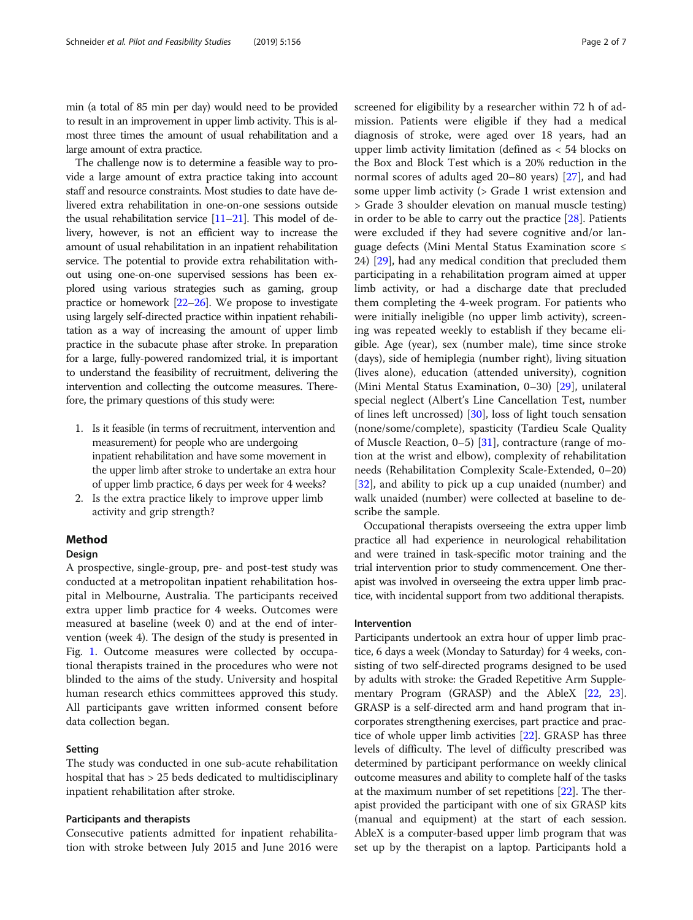min (a total of 85 min per day) would need to be provided to result in an improvement in upper limb activity. This is almost three times the amount of usual rehabilitation and a large amount of extra practice.

The challenge now is to determine a feasible way to provide a large amount of extra practice taking into account staff and resource constraints. Most studies to date have delivered extra rehabilitation in one-on-one sessions outside the usual rehabilitation service [[11](#page-6-0)–[21](#page-6-0)]. This model of delivery, however, is not an efficient way to increase the amount of usual rehabilitation in an inpatient rehabilitation service. The potential to provide extra rehabilitation without using one-on-one supervised sessions has been explored using various strategies such as gaming, group practice or homework [\[22](#page-6-0)–[26\]](#page-6-0). We propose to investigate using largely self-directed practice within inpatient rehabilitation as a way of increasing the amount of upper limb practice in the subacute phase after stroke. In preparation for a large, fully-powered randomized trial, it is important to understand the feasibility of recruitment, delivering the intervention and collecting the outcome measures. Therefore, the primary questions of this study were:

- 1. Is it feasible (in terms of recruitment, intervention and measurement) for people who are undergoing inpatient rehabilitation and have some movement in the upper limb after stroke to undertake an extra hour of upper limb practice, 6 days per week for 4 weeks?
- 2. Is the extra practice likely to improve upper limb activity and grip strength?

#### Method

#### Design

A prospective, single-group, pre- and post-test study was conducted at a metropolitan inpatient rehabilitation hospital in Melbourne, Australia. The participants received extra upper limb practice for 4 weeks. Outcomes were measured at baseline (week 0) and at the end of intervention (week 4). The design of the study is presented in Fig. [1.](#page-2-0) Outcome measures were collected by occupational therapists trained in the procedures who were not blinded to the aims of the study. University and hospital human research ethics committees approved this study. All participants gave written informed consent before data collection began.

#### Setting

The study was conducted in one sub-acute rehabilitation hospital that has > 25 beds dedicated to multidisciplinary inpatient rehabilitation after stroke.

#### Participants and therapists

Consecutive patients admitted for inpatient rehabilitation with stroke between July 2015 and June 2016 were screened for eligibility by a researcher within 72 h of admission. Patients were eligible if they had a medical diagnosis of stroke, were aged over 18 years, had an upper limb activity limitation (defined as < 54 blocks on the Box and Block Test which is a 20% reduction in the normal scores of adults aged 20–80 years) [[27\]](#page-6-0), and had some upper limb activity (> Grade 1 wrist extension and > Grade 3 shoulder elevation on manual muscle testing) in order to be able to carry out the practice [\[28\]](#page-6-0). Patients were excluded if they had severe cognitive and/or language defects (Mini Mental Status Examination score ≤ 24) [\[29\]](#page-6-0), had any medical condition that precluded them participating in a rehabilitation program aimed at upper limb activity, or had a discharge date that precluded them completing the 4-week program. For patients who were initially ineligible (no upper limb activity), screening was repeated weekly to establish if they became eligible. Age (year), sex (number male), time since stroke (days), side of hemiplegia (number right), living situation (lives alone), education (attended university), cognition (Mini Mental Status Examination, 0–30) [\[29](#page-6-0)], unilateral special neglect (Albert's Line Cancellation Test, number of lines left uncrossed) [[30](#page-6-0)], loss of light touch sensation (none/some/complete), spasticity (Tardieu Scale Quality of Muscle Reaction, 0–5) [[31\]](#page-6-0), contracture (range of motion at the wrist and elbow), complexity of rehabilitation needs (Rehabilitation Complexity Scale-Extended, 0–20) [[32\]](#page-6-0), and ability to pick up a cup unaided (number) and walk unaided (number) were collected at baseline to describe the sample.

Occupational therapists overseeing the extra upper limb practice all had experience in neurological rehabilitation and were trained in task-specific motor training and the trial intervention prior to study commencement. One therapist was involved in overseeing the extra upper limb practice, with incidental support from two additional therapists.

#### Intervention

Participants undertook an extra hour of upper limb practice, 6 days a week (Monday to Saturday) for 4 weeks, consisting of two self-directed programs designed to be used by adults with stroke: the Graded Repetitive Arm Supplementary Program (GRASP) and the AbleX [\[22,](#page-6-0) [23](#page-6-0)]. GRASP is a self-directed arm and hand program that incorporates strengthening exercises, part practice and practice of whole upper limb activities [[22](#page-6-0)]. GRASP has three levels of difficulty. The level of difficulty prescribed was determined by participant performance on weekly clinical outcome measures and ability to complete half of the tasks at the maximum number of set repetitions [\[22\]](#page-6-0). The therapist provided the participant with one of six GRASP kits (manual and equipment) at the start of each session. AbleX is a computer-based upper limb program that was set up by the therapist on a laptop. Participants hold a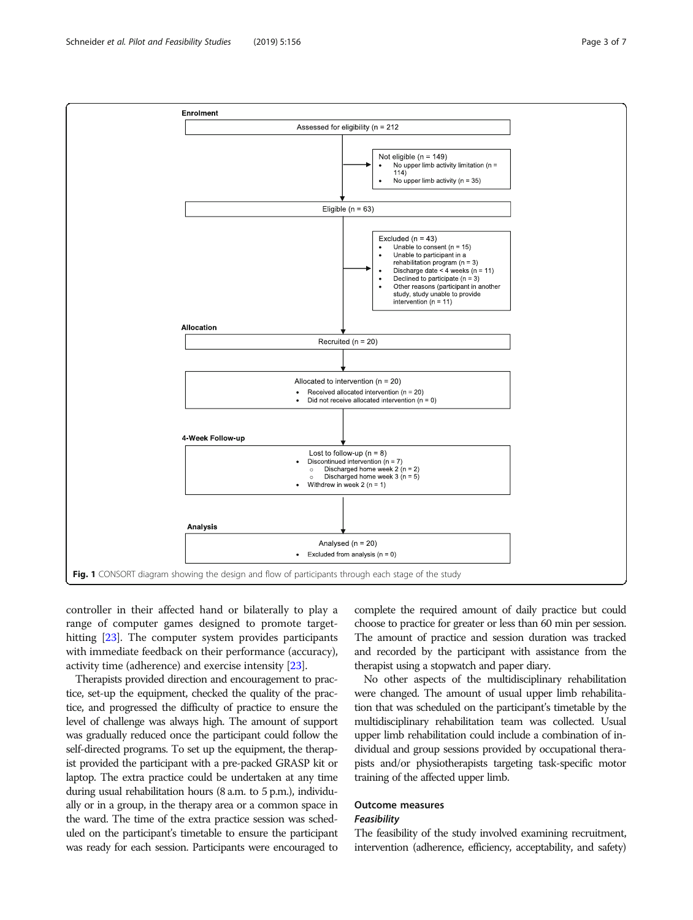<span id="page-2-0"></span>

controller in their affected hand or bilaterally to play a range of computer games designed to promote target-hitting [[23](#page-6-0)]. The computer system provides participants with immediate feedback on their performance (accuracy), activity time (adherence) and exercise intensity [[23](#page-6-0)].

Therapists provided direction and encouragement to practice, set-up the equipment, checked the quality of the practice, and progressed the difficulty of practice to ensure the level of challenge was always high. The amount of support was gradually reduced once the participant could follow the self-directed programs. To set up the equipment, the therapist provided the participant with a pre-packed GRASP kit or laptop. The extra practice could be undertaken at any time during usual rehabilitation hours (8 a.m. to 5 p.m.), individually or in a group, in the therapy area or a common space in the ward. The time of the extra practice session was scheduled on the participant's timetable to ensure the participant was ready for each session. Participants were encouraged to complete the required amount of daily practice but could choose to practice for greater or less than 60 min per session. The amount of practice and session duration was tracked and recorded by the participant with assistance from the therapist using a stopwatch and paper diary.

No other aspects of the multidisciplinary rehabilitation were changed. The amount of usual upper limb rehabilitation that was scheduled on the participant's timetable by the multidisciplinary rehabilitation team was collected. Usual upper limb rehabilitation could include a combination of individual and group sessions provided by occupational therapists and/or physiotherapists targeting task-specific motor training of the affected upper limb.

# Outcome measures

# **Feasibility**

The feasibility of the study involved examining recruitment, intervention (adherence, efficiency, acceptability, and safety)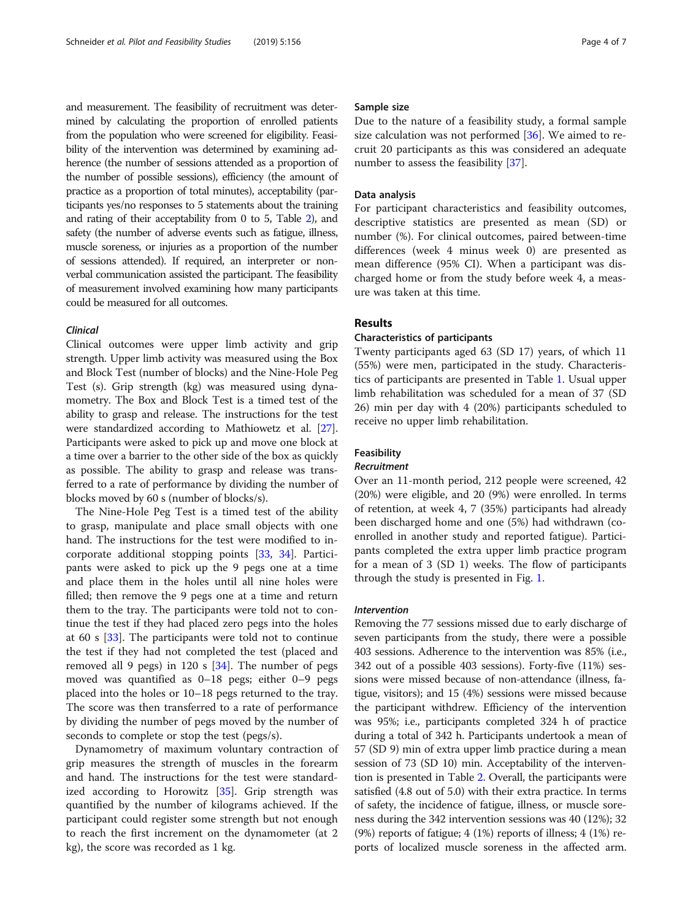and measurement. The feasibility of recruitment was determined by calculating the proportion of enrolled patients from the population who were screened for eligibility. Feasibility of the intervention was determined by examining adherence (the number of sessions attended as a proportion of the number of possible sessions), efficiency (the amount of practice as a proportion of total minutes), acceptability (participants yes/no responses to 5 statements about the training and rating of their acceptability from 0 to 5, Table [2](#page-4-0)), and safety (the number of adverse events such as fatigue, illness, muscle soreness, or injuries as a proportion of the number of sessions attended). If required, an interpreter or nonverbal communication assisted the participant. The feasibility of measurement involved examining how many participants could be measured for all outcomes.

#### Clinical

Clinical outcomes were upper limb activity and grip strength. Upper limb activity was measured using the Box and Block Test (number of blocks) and the Nine-Hole Peg Test (s). Grip strength (kg) was measured using dynamometry. The Box and Block Test is a timed test of the ability to grasp and release. The instructions for the test were standardized according to Mathiowetz et al. [[27](#page-6-0)]. Participants were asked to pick up and move one block at a time over a barrier to the other side of the box as quickly as possible. The ability to grasp and release was transferred to a rate of performance by dividing the number of blocks moved by 60 s (number of blocks/s).

The Nine-Hole Peg Test is a timed test of the ability to grasp, manipulate and place small objects with one hand. The instructions for the test were modified to incorporate additional stopping points [\[33](#page-6-0), [34\]](#page-6-0). Participants were asked to pick up the 9 pegs one at a time and place them in the holes until all nine holes were filled; then remove the 9 pegs one at a time and return them to the tray. The participants were told not to continue the test if they had placed zero pegs into the holes at 60 s [\[33\]](#page-6-0). The participants were told not to continue the test if they had not completed the test (placed and removed all 9 pegs) in 120 s [\[34\]](#page-6-0). The number of pegs moved was quantified as 0–18 pegs; either 0–9 pegs placed into the holes or 10–18 pegs returned to the tray. The score was then transferred to a rate of performance by dividing the number of pegs moved by the number of seconds to complete or stop the test (pegs/s).

Dynamometry of maximum voluntary contraction of grip measures the strength of muscles in the forearm and hand. The instructions for the test were standardized according to Horowitz [[35](#page-6-0)]. Grip strength was quantified by the number of kilograms achieved. If the participant could register some strength but not enough to reach the first increment on the dynamometer (at 2 kg), the score was recorded as 1 kg.

#### Sample size

Due to the nature of a feasibility study, a formal sample size calculation was not performed [\[36\]](#page-6-0). We aimed to recruit 20 participants as this was considered an adequate number to assess the feasibility [\[37\]](#page-6-0).

#### Data analysis

For participant characteristics and feasibility outcomes, descriptive statistics are presented as mean (SD) or number (%). For clinical outcomes, paired between-time differences (week 4 minus week 0) are presented as mean difference (95% CI). When a participant was discharged home or from the study before week 4, a measure was taken at this time.

#### Results

#### Characteristics of participants

Twenty participants aged 63 (SD 17) years, of which 11 (55%) were men, participated in the study. Characteristics of participants are presented in Table [1](#page-4-0). Usual upper limb rehabilitation was scheduled for a mean of 37 (SD 26) min per day with 4 (20%) participants scheduled to receive no upper limb rehabilitation.

#### Feasibility

#### Recruitment

Over an 11-month period, 212 people were screened, 42 (20%) were eligible, and 20 (9%) were enrolled. In terms of retention, at week 4, 7 (35%) participants had already been discharged home and one (5%) had withdrawn (coenrolled in another study and reported fatigue). Participants completed the extra upper limb practice program for a mean of 3 (SD 1) weeks. The flow of participants through the study is presented in Fig. [1](#page-2-0).

#### Intervention

Removing the 77 sessions missed due to early discharge of seven participants from the study, there were a possible 403 sessions. Adherence to the intervention was 85% (i.e., 342 out of a possible 403 sessions). Forty-five (11%) sessions were missed because of non-attendance (illness, fatigue, visitors); and 15 (4%) sessions were missed because the participant withdrew. Efficiency of the intervention was 95%; i.e., participants completed 324 h of practice during a total of 342 h. Participants undertook a mean of 57 (SD 9) min of extra upper limb practice during a mean session of 73 (SD 10) min. Acceptability of the intervention is presented in Table [2](#page-4-0). Overall, the participants were satisfied (4.8 out of 5.0) with their extra practice. In terms of safety, the incidence of fatigue, illness, or muscle soreness during the 342 intervention sessions was 40 (12%); 32  $(9%)$  reports of fatigue; 4 (1%) reports of illness; 4 (1%) reports of localized muscle soreness in the affected arm.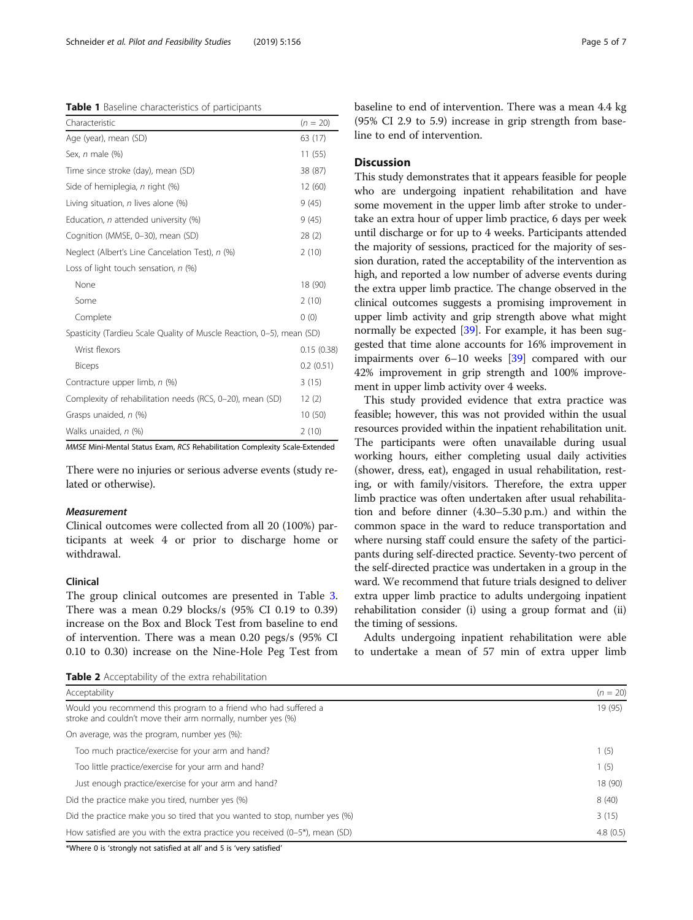#### <span id="page-4-0"></span>Table 1 Baseline characteristics of participants

| Characteristic                                                        | $(n = 20)$ |
|-----------------------------------------------------------------------|------------|
| Age (year), mean (SD)                                                 | 63 (17)    |
| Sex, n male (%)                                                       | 11(55)     |
| Time since stroke (day), mean (SD)                                    | 38 (87)    |
| Side of hemiplegia, n right (%)                                       | 12(60)     |
| Living situation, $n$ lives alone $(\%)$                              | 9(45)      |
| Education, n attended university (%)                                  | 9(45)      |
| Cognition (MMSE, 0-30), mean (SD)                                     | 28(2)      |
| Neglect (Albert's Line Cancelation Test), n (%)                       | 2(10)      |
| Loss of light touch sensation, $n$ (%)                                |            |
| None                                                                  | 18 (90)    |
| Some                                                                  | 2(10)      |
| Complete                                                              | 0(0)       |
| Spasticity (Tardieu Scale Quality of Muscle Reaction, 0-5), mean (SD) |            |
| Wrist flexors                                                         | 0.15(0.38) |
| <b>Biceps</b>                                                         | 0.2(0.51)  |
| Contracture upper limb, n (%)                                         | 3(15)      |
| Complexity of rehabilitation needs (RCS, 0-20), mean (SD)             | 12(2)      |
| Grasps unaided, n (%)                                                 | 10(50)     |
| Walks unaided, n (%)                                                  | 2(10)      |

MMSE Mini-Mental Status Exam, RCS Rehabilitation Complexity Scale-Extended

There were no injuries or serious adverse events (study related or otherwise).

#### Measurement

Clinical outcomes were collected from all 20 (100%) participants at week 4 or prior to discharge home or withdrawal.

#### Clinical

The group clinical outcomes are presented in Table [3](#page-5-0). There was a mean 0.29 blocks/s (95% CI 0.19 to 0.39) increase on the Box and Block Test from baseline to end of intervention. There was a mean 0.20 pegs/s (95% CI 0.10 to 0.30) increase on the Nine-Hole Peg Test from

Table 2 Acceptability of the extra rehabilitation

baseline to end of intervention. There was a mean 4.4 kg (95% CI 2.9 to 5.9) increase in grip strength from baseline to end of intervention.

#### **Discussion**

This study demonstrates that it appears feasible for people who are undergoing inpatient rehabilitation and have some movement in the upper limb after stroke to undertake an extra hour of upper limb practice, 6 days per week until discharge or for up to 4 weeks. Participants attended the majority of sessions, practiced for the majority of session duration, rated the acceptability of the intervention as high, and reported a low number of adverse events during the extra upper limb practice. The change observed in the clinical outcomes suggests a promising improvement in upper limb activity and grip strength above what might normally be expected [[39](#page-6-0)]. For example, it has been suggested that time alone accounts for 16% improvement in impairments over 6–10 weeks [[39](#page-6-0)] compared with our 42% improvement in grip strength and 100% improvement in upper limb activity over 4 weeks.

This study provided evidence that extra practice was feasible; however, this was not provided within the usual resources provided within the inpatient rehabilitation unit. The participants were often unavailable during usual working hours, either completing usual daily activities (shower, dress, eat), engaged in usual rehabilitation, resting, or with family/visitors. Therefore, the extra upper limb practice was often undertaken after usual rehabilitation and before dinner (4.30–5.30 p.m.) and within the common space in the ward to reduce transportation and where nursing staff could ensure the safety of the participants during self-directed practice. Seventy-two percent of the self-directed practice was undertaken in a group in the ward. We recommend that future trials designed to deliver extra upper limb practice to adults undergoing inpatient rehabilitation consider (i) using a group format and (ii) the timing of sessions.

Adults undergoing inpatient rehabilitation were able to undertake a mean of 57 min of extra upper limb

| Acceptability                                                                                                                  | $(n = 20)$ |
|--------------------------------------------------------------------------------------------------------------------------------|------------|
| Would you recommend this program to a friend who had suffered a<br>stroke and couldn't move their arm normally, number yes (%) | 19 (95)    |
| On average, was the program, number yes (%):                                                                                   |            |
| Too much practice/exercise for your arm and hand?                                                                              | 1(5)       |
| Too little practice/exercise for your arm and hand?                                                                            | 1(5)       |
| Just enough practice/exercise for your arm and hand?                                                                           | 18 (90)    |
| Did the practice make you tired, number yes (%)                                                                                | 8(40)      |
| Did the practice make you so tired that you wanted to stop, number yes (%)                                                     | 3(15)      |
| How satisfied are you with the extra practice you received $(0-5^*)$ , mean $(SD)$                                             | 4.8(0.5)   |

\*Where 0 is 'strongly not satisfied at all' and 5 is 'very satisfied'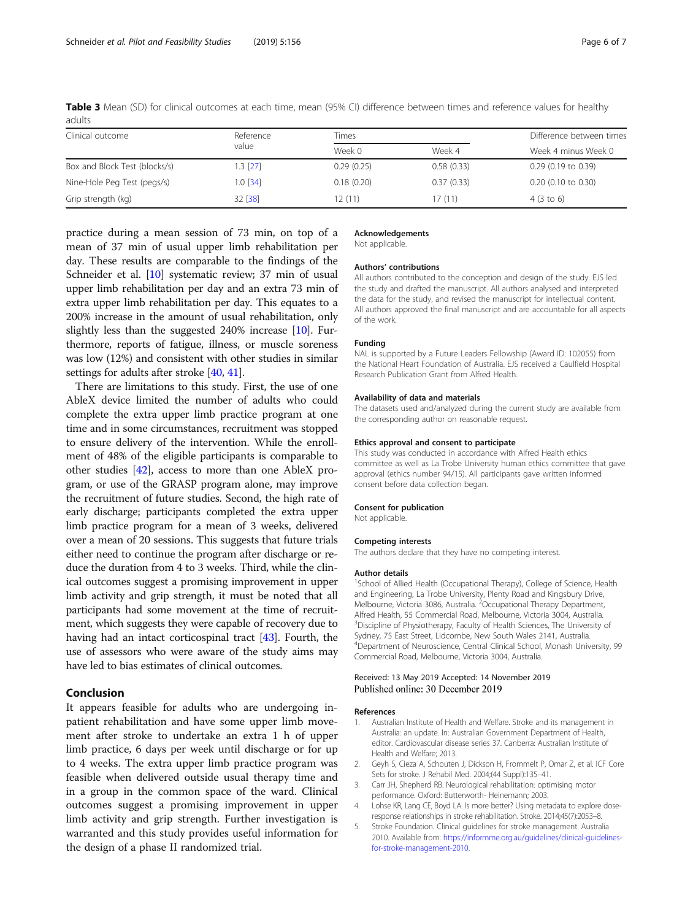| Clinical outcome              | Reference  | Times      |            |                       |
|-------------------------------|------------|------------|------------|-----------------------|
|                               | value      | Week 0     | Week 4     | Week 4 minus Week 0   |
| Box and Block Test (blocks/s) | $1.3$ [27] | 0.29(0.25) | 0.58(0.33) | $0.29$ (0.19 to 0.39) |
| Nine-Hole Peg Test (pegs/s)   | $1.0$ [34] | 0.18(0.20) | 0.37(0.33) | $0.20$ (0.10 to 0.30) |
| Grip strength (kg)            | 32 [38]    | 12(11)     | 17(11)     | $4(3 \text{ to } 6)$  |

<span id="page-5-0"></span>Table 3 Mean (SD) for clinical outcomes at each time, mean (95% CI) difference between times and reference values for healthy adults

practice during a mean session of 73 min, on top of a mean of 37 min of usual upper limb rehabilitation per day. These results are comparable to the findings of the Schneider et al. [\[10](#page-6-0)] systematic review; 37 min of usual upper limb rehabilitation per day and an extra 73 min of extra upper limb rehabilitation per day. This equates to a 200% increase in the amount of usual rehabilitation, only slightly less than the suggested 240% increase [\[10\]](#page-6-0). Furthermore, reports of fatigue, illness, or muscle soreness was low (12%) and consistent with other studies in similar settings for adults after stroke [\[40,](#page-6-0) [41](#page-6-0)].

There are limitations to this study. First, the use of one AbleX device limited the number of adults who could complete the extra upper limb practice program at one time and in some circumstances, recruitment was stopped to ensure delivery of the intervention. While the enrollment of 48% of the eligible participants is comparable to other studies [\[42\]](#page-6-0), access to more than one AbleX program, or use of the GRASP program alone, may improve the recruitment of future studies. Second, the high rate of early discharge; participants completed the extra upper limb practice program for a mean of 3 weeks, delivered over a mean of 20 sessions. This suggests that future trials either need to continue the program after discharge or reduce the duration from 4 to 3 weeks. Third, while the clinical outcomes suggest a promising improvement in upper limb activity and grip strength, it must be noted that all participants had some movement at the time of recruitment, which suggests they were capable of recovery due to having had an intact corticospinal tract [\[43\]](#page-6-0). Fourth, the use of assessors who were aware of the study aims may have led to bias estimates of clinical outcomes.

#### Conclusion

It appears feasible for adults who are undergoing inpatient rehabilitation and have some upper limb movement after stroke to undertake an extra 1 h of upper limb practice, 6 days per week until discharge or for up to 4 weeks. The extra upper limb practice program was feasible when delivered outside usual therapy time and in a group in the common space of the ward. Clinical outcomes suggest a promising improvement in upper limb activity and grip strength. Further investigation is warranted and this study provides useful information for the design of a phase II randomized trial.

#### Acknowledgements

Not applicable.

#### Authors' contributions

All authors contributed to the conception and design of the study. EJS led the study and drafted the manuscript. All authors analysed and interpreted the data for the study, and revised the manuscript for intellectual content. All authors approved the final manuscript and are accountable for all aspects of the work.

#### Funding

NAL is supported by a Future Leaders Fellowship (Award ID: 102055) from the National Heart Foundation of Australia. EJS received a Caulfield Hospital Research Publication Grant from Alfred Health.

#### Availability of data and materials

The datasets used and/analyzed during the current study are available from the corresponding author on reasonable request.

#### Ethics approval and consent to participate

This study was conducted in accordance with Alfred Health ethics committee as well as La Trobe University human ethics committee that gave approval (ethics number 94/15). All participants gave written informed consent before data collection began.

#### Consent for publication

Not applicable.

#### Competing interests

The authors declare that they have no competing interest.

#### Author details

<sup>1</sup>School of Allied Health (Occupational Therapy), College of Science, Health and Engineering, La Trobe University, Plenty Road and Kingsbury Drive, Melbourne, Victoria 3086, Australia. <sup>2</sup>Occupational Therapy Department Alfred Health, 55 Commercial Road, Melbourne, Victoria 3004, Australia. <sup>3</sup>Discipline of Physiotherapy, Faculty of Health Sciences, The University of Sydney, 75 East Street, Lidcombe, New South Wales 2141, Australia. 4 Department of Neuroscience, Central Clinical School, Monash University, 99 Commercial Road, Melbourne, Victoria 3004, Australia.

#### Received: 13 May 2019 Accepted: 14 November 2019 Published online: 30 December 2019

#### References

- Australian Institute of Health and Welfare. Stroke and its management in Australia: an update. In: Australian Government Department of Health, editor. Cardiovascular disease series 37. Canberra: Australian Institute of Health and Welfare; 2013.
- 2. Geyh S, Cieza A, Schouten J, Dickson H, Frommelt P, Omar Z, et al. ICF Core Sets for stroke. J Rehabil Med. 2004;(44 Suppl):135–41.
- 3. Carr JH, Shepherd RB. Neurological rehabilitation: optimising motor performance. Oxford: Butterworth- Heinemann; 2003.
- 4. Lohse KR, Lang CE, Boyd LA. Is more better? Using metadata to explore doseresponse relationships in stroke rehabilitation. Stroke. 2014;45(7):2053–8.
- 5. Stroke Foundation. Clinical guidelines for stroke management. Australia 2010. Available from: [https://informme.org.au/guidelines/clinical-guidelines](https://informme.org.au/guidelines/clinical-guidelines-for-stroke-management-2010)[for-stroke-management-2010.](https://informme.org.au/guidelines/clinical-guidelines-for-stroke-management-2010)